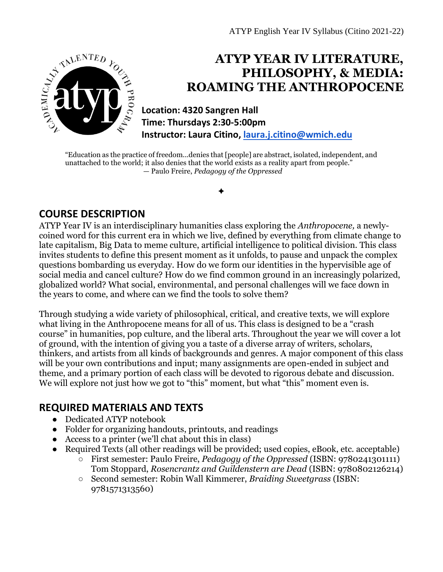

# **ATYP YEAR IV LITERATURE, PHILOSOPHY, & MEDIA: ROAMING THE ANTHROPOCENE**

**Location: 4320 Sangren Hall Time: Thursdays 2:30-5:00pm Instructor: Laura Citino, [laura.j.citino@wmich.edu](mailto:laura.j.citino@wmich.edu)**

"Education as the practice of freedom...denies that [people] are abstract, isolated, independent, and unattached to the world; it also denies that the world exists as a reality apart from people." — Paulo Freire, *Pedagogy of the Oppressed* 

✦

# **COURSE DESCRIPTION**

ATYP Year IV is an interdisciplinary humanities class exploring the *Anthropocene,* a newlycoined word for this current era in which we live, defined by everything from climate change to late capitalism, Big Data to meme culture, artificial intelligence to political division. This class invites students to define this present moment as it unfolds, to pause and unpack the complex questions bombarding us everyday. How do we form our identities in the hypervisible age of social media and cancel culture? How do we find common ground in an increasingly polarized, globalized world? What social, environmental, and personal challenges will we face down in the years to come, and where can we find the tools to solve them?

Through studying a wide variety of philosophical, critical, and creative texts, we will explore what living in the Anthropocene means for all of us. This class is designed to be a "crash course" in humanities, pop culture, and the liberal arts. Throughout the year we will cover a lot of ground, with the intention of giving you a taste of a diverse array of writers, scholars, thinkers, and artists from all kinds of backgrounds and genres. A major component of this class will be your own contributions and input; many assignments are open-ended in subject and theme, and a primary portion of each class will be devoted to rigorous debate and discussion. We will explore not just how we got to "this" moment, but what "this" moment even is.

# **REQUIRED MATERIALS AND TEXTS**

- Dedicated ATYP notebook
- Folder for organizing handouts, printouts, and readings
- Access to a printer (we'll chat about this in class)
- Required Texts (all other readings will be provided; used copies, eBook, etc. acceptable)
	- First semester: Paulo Freire, *Pedagogy of the Oppressed* (ISBN: 9780241301111) Tom Stoppard, *Rosencrantz and Guildenstern are Dead* (ISBN: 9780802126214)
	- Second semester: Robin Wall Kimmerer, *Braiding Sweetgrass* (ISBN: 9781571313560)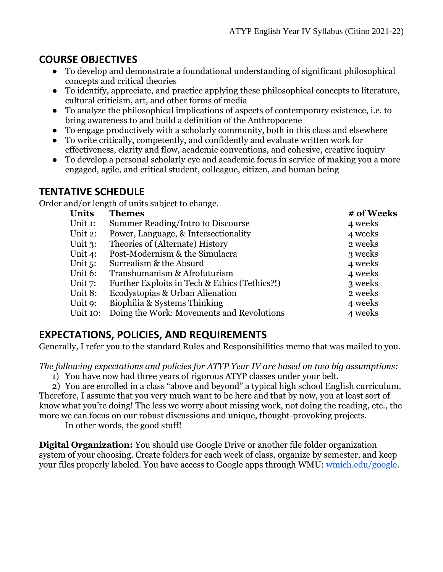# **COURSE OBJECTIVES**

- To develop and demonstrate a foundational understanding of significant philosophical concepts and critical theories
- To identify, appreciate, and practice applying these philosophical concepts to literature, cultural criticism, art, and other forms of media
- To analyze the philosophical implications of aspects of contemporary existence, i.e. to bring awareness to and build a definition of the Anthropocene
- To engage productively with a scholarly community, both in this class and elsewhere
- To write critically, competently, and confidently and evaluate written work for effectiveness, clarity and flow, academic conventions, and cohesive, creative inquiry
- To develop a personal scholarly eye and academic focus in service of making you a more engaged, agile, and critical student, colleague, citizen, and human being

### **TENTATIVE SCHEDULE**

Order and/or length of units subject to change.

| <b>Units</b><br><b>Themes</b>                            | # of Weeks |
|----------------------------------------------------------|------------|
| Unit 1:<br>Summer Reading/Intro to Discourse             | 4 weeks    |
| Unit 2:<br>Power, Language, & Intersectionality          | 4 weeks    |
| Theories of (Alternate) History<br>Unit $3$ :            | 2 weeks    |
| Post-Modernism & the Simulacra<br>Unit 4:                | 3 weeks    |
| Unit $5$ :<br>Surrealism & the Absurd                    | 4 weeks    |
| Unit 6:<br>Transhumanism & Afrofuturism                  | 4 weeks    |
| Further Exploits in Tech & Ethics (Tethics?!)<br>Unit 7: | 3 weeks    |
| Unit 8:<br>Ecodystopias & Urban Alienation               | 2 weeks    |
| Biophilia & Systems Thinking<br>Unit 9:                  | 4 weeks    |
| Doing the Work: Movements and Revolutions<br>Unit 10:    | 4 weeks    |

# **EXPECTATIONS, POLICIES, AND REQUIREMENTS**

Generally, I refer you to the standard Rules and Responsibilities memo that was mailed to you.

*The following expectations and policies for ATYP Year IV are based on two big assumptions:* 

1) You have now had three years of rigorous ATYP classes under your belt.

2) You are enrolled in a class "above and beyond" a typical high school English curriculum. Therefore, I assume that you very much want to be here and that by now, you at least sort of know what you're doing! The less we worry about missing work, not doing the reading, etc., the more we can focus on our robust discussions and unique, thought-provoking projects.

In other words, the good stuff!

**Digital Organization:** You should use Google Drive or another file folder organization system of your choosing. Create folders for each week of class, organize by semester, and keep your files properly labeled. You have access to Google apps through WMU: [wmich.edu/google.](https://wmich.edu/google)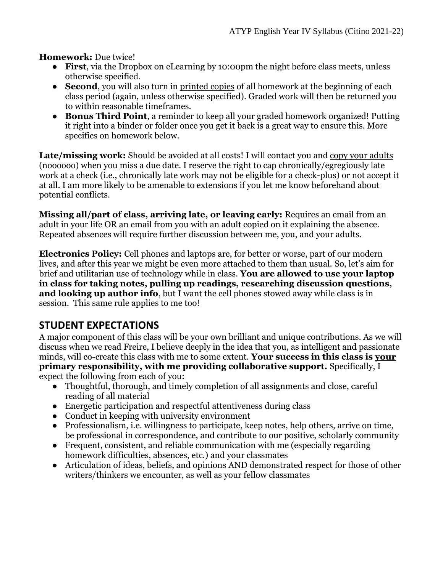**Homework:** Due twice!

- **First**, via the Dropbox on eLearning by 10:00pm the night before class meets, unless otherwise specified.
- **Second**, you will also turn in printed copies of all homework at the beginning of each class period (again, unless otherwise specified). Graded work will then be returned you to within reasonable timeframes.
- **Bonus Third Point**, a reminder to keep all your graded homework organized! Putting it right into a binder or folder once you get it back is a great way to ensure this. More specifics on homework below.

Late/missing work: Should be avoided at all costs! I will contact you and copy your adults (noooooo) when you miss a due date. I reserve the right to cap chronically/egregiously late work at a check (i.e., chronically late work may not be eligible for a check-plus) or not accept it at all. I am more likely to be amenable to extensions if you let me know beforehand about potential conflicts.

**Missing all/part of class, arriving late, or leaving early:** Requires an email from an adult in your life OR an email from you with an adult copied on it explaining the absence. Repeated absences will require further discussion between me, you, and your adults.

**Electronics Policy:** Cell phones and laptops are, for better or worse, part of our modern lives, and after this year we might be even more attached to them than usual. So, let's aim for brief and utilitarian use of technology while in class. **You are allowed to use your laptop in class for taking notes, pulling up readings, researching discussion questions, and looking up author info**, but I want the cell phones stowed away while class is in session. This same rule applies to me too!

### **STUDENT EXPECTATIONS**

A major component of this class will be your own brilliant and unique contributions. As we will discuss when we read Freire, I believe deeply in the idea that you, as intelligent and passionate minds, will co-create this class with me to some extent. **Your success in this class is your primary responsibility, with me providing collaborative support.** Specifically, I expect the following from each of you:

- Thoughtful, thorough, and timely completion of all assignments and close, careful reading of all material
- Energetic participation and respectful attentiveness during class
- Conduct in keeping with university environment
- Professionalism, i.e. willingness to participate, keep notes, help others, arrive on time, be professional in correspondence, and contribute to our positive, scholarly community
- Frequent, consistent, and reliable communication with me (especially regarding homework difficulties, absences, etc.) and your classmates
- Articulation of ideas, beliefs, and opinions AND demonstrated respect for those of other writers/thinkers we encounter, as well as your fellow classmates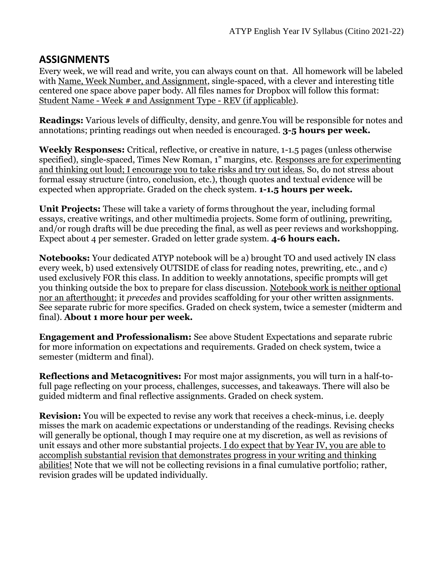### **ASSIGNMENTS**

Every week, we will read and write, you can always count on that. All homework will be labeled with Name, Week Number, and Assignment, single-spaced, with a clever and interesting title centered one space above paper body. All files names for Dropbox will follow this format: Student Name - Week # and Assignment Type - REV (if applicable).

**Readings:** Various levels of difficulty, density, and genre.You will be responsible for notes and annotations; printing readings out when needed is encouraged. **3-5 hours per week.**

**Weekly Responses:** Critical, reflective, or creative in nature, 1-1.5 pages (unless otherwise specified), single-spaced, Times New Roman, 1" margins, etc. Responses are for experimenting and thinking out loud; I encourage you to take risks and try out ideas. So, do not stress about formal essay structure (intro, conclusion, etc.), though quotes and textual evidence will be expected when appropriate. Graded on the check system. **1-1.5 hours per week.**

**Unit Projects:** These will take a variety of forms throughout the year, including formal essays, creative writings, and other multimedia projects. Some form of outlining, prewriting, and/or rough drafts will be due preceding the final, as well as peer reviews and workshopping. Expect about 4 per semester. Graded on letter grade system. **4-6 hours each.**

**Notebooks:** Your dedicated ATYP notebook will be a) brought TO and used actively IN class every week, b) used extensively OUTSIDE of class for reading notes, prewriting, etc., and c) used exclusively FOR this class. In addition to weekly annotations, specific prompts will get you thinking outside the box to prepare for class discussion. Notebook work is neither optional nor an afterthought; it *precedes* and provides scaffolding for your other written assignments. See separate rubric for more specifics. Graded on check system, twice a semester (midterm and final). **About 1 more hour per week.** 

**Engagement and Professionalism:** See above Student Expectations and separate rubric for more information on expectations and requirements. Graded on check system, twice a semester (midterm and final).

**Reflections and Metacognitives:** For most major assignments, you will turn in a half-tofull page reflecting on your process, challenges, successes, and takeaways. There will also be guided midterm and final reflective assignments. Graded on check system.

**Revision:** You will be expected to revise any work that receives a check-minus, i.e. deeply misses the mark on academic expectations or understanding of the readings. Revising checks will generally be optional, though I may require one at my discretion, as well as revisions of unit essays and other more substantial projects. I do expect that by Year IV, you are able to accomplish substantial revision that demonstrates progress in your writing and thinking abilities! Note that we will not be collecting revisions in a final cumulative portfolio; rather, revision grades will be updated individually.